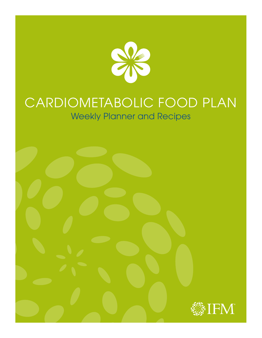

# CARDIOMETABOLIC FOOD PLAN Weekly Planner and Recipes

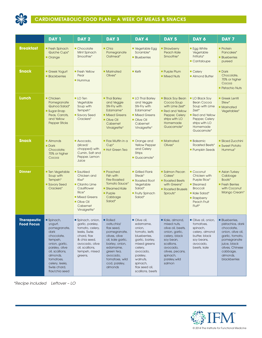

## CARDIOMETABOLIC FOOD PLAN – A WEEK OF MEALS & SNACKS

|                                         | <b>DAY 1</b>                                                                                                                                                                                             | DAY <sub>2</sub>                                                                                                                                                       | DAY <sub>3</sub>                                                                                                                                                                                  | DAY 4                                                                                                                                                                                                  | DAY <sub>5</sub>                                                                                                                                                                      | DAY 6                                                                                                                                               | DAY <sub>7</sub>                                                                                                                                                                       |
|-----------------------------------------|----------------------------------------------------------------------------------------------------------------------------------------------------------------------------------------------------------|------------------------------------------------------------------------------------------------------------------------------------------------------------------------|---------------------------------------------------------------------------------------------------------------------------------------------------------------------------------------------------|--------------------------------------------------------------------------------------------------------------------------------------------------------------------------------------------------------|---------------------------------------------------------------------------------------------------------------------------------------------------------------------------------------|-----------------------------------------------------------------------------------------------------------------------------------------------------|----------------------------------------------------------------------------------------------------------------------------------------------------------------------------------------|
| <b>Breakfast</b>                        | Fresh Spinach<br>Quiche Cups*<br><b>Orange</b>                                                                                                                                                           | Chocolate<br>Mint Spinach<br>Smoothie*                                                                                                                                 | $\blacksquare$ Chia<br>Pomegranate<br>Oatmeal*                                                                                                                                                    | Vegetable Egg<br>Scramble*<br><b>Blueberries</b>                                                                                                                                                       | Strawberry<br>Peach Kale<br>Smoothie*                                                                                                                                                 | <b>Egg White</b><br>Vegetable<br>Frittata*<br>Cantaloupe                                                                                            | $\blacksquare$ Protein<br>Pancakes*<br><b>Blueberries</b><br>pureed                                                                                                                    |
| <b>Snack</b>                            | Greek Yogurt<br><b>Blackberries</b>                                                                                                                                                                      | <b>Fresh Yellow</b><br>Pear<br><b>Hummus</b>                                                                                                                           | <b>Marinated</b><br>Olives*                                                                                                                                                                       | Kefir                                                                                                                                                                                                  | <b>Purple Plum</b><br><b>Mixed Nuts</b>                                                                                                                                               | ■ Celery<br>Almond Butter                                                                                                                           | $\blacksquare$ Dark<br>Chocolate,<br>70% or higher<br>Cocoa<br><b>Pistachio Nuts</b>                                                                                                   |
| <b>Lunch</b>                            | Chicken<br>Pomegranate<br>Quinoa Salad*<br>■ Sugar-Snap<br>Peas, Carrots,<br>and Yellow<br><b>Pepper Sticks</b>                                                                                          | <b>LO</b> Ten<br>Vegetable<br>Soup with<br>Tempeh*<br>Savory Seed<br>Crackers*                                                                                         | <b>Thai Barley</b><br>and Veggie<br>Stir-Fry with<br>Edamame*<br><b>Mixed Greens</b><br>Olive Oil<br>Cabernet<br>Vinaigrette*                                                                     | <b>LO Thai Barley</b><br>and Veggie<br>Stir-Fry with<br>Edamame*<br><b>Mixed Greens</b><br>Olive Oil<br>Cabernet<br>Vinaigrette*                                                                       | <b>Black Soy Bean</b><br>Cocoa Soup<br>with Lime Zest*<br>Red and Yellow<br>Pepper, Celery<br>strips with LO<br>Homemade<br>Guacamole*                                                | <b>LO Black Soy</b><br><b>Bean Cocoa</b><br>Soup with Lime<br>Zest*<br>Red and Yellow<br>Pepper, Celery<br>strips with LO<br>Homemade<br>Guacamole* | Greek Lentil<br>Stew*<br>• Marinated<br>Vegetables*                                                                                                                                    |
| <b>Snack</b>                            | <b>Almonds</b><br><b>Dark</b><br>Chocolate;<br>70% or higher<br>Cocoa                                                                                                                                    | Avocado,<br>(sliced/<br>chopped) with<br>Cumin, Salt and<br>Pepper, Lemon<br>Juice                                                                                     | $\blacksquare$ Flax Muffin in a<br>$Cup*$<br>Hot Green Tea                                                                                                                                        | Orange and<br><b>Yellow Pepper</b><br>and Celery<br><b>Strips</b><br>Guacamole*                                                                                                                        | <b>Marinated</b><br>Olives*                                                                                                                                                           | <b>Balsamic</b><br><b>Roasted Beets*</b><br><b>Pumpkin Seeds</b>                                                                                    | <b>Sliced Zucchini</b><br>Sweet Potato<br>Hummus*                                                                                                                                      |
| <b>Dinner</b>                           | <b>Ten Vegetable</b><br>Soup with<br>Tempeh*<br>Savory Seed<br>Crackers*                                                                                                                                 | ■ Sautéed<br>Chicken and<br>Kiwi*<br>Cilantro Lime<br>Cauliflower<br>Rice*<br><b>Mixed Greens</b><br>Olive Oil<br>Cabernet<br>Vinaigrette*                             | • Poached<br>Fish with<br><b>Fire-Roasted</b><br>Tomato Sauce*<br>Steamed Kale<br><b>Purple</b><br>Cabbage<br>Salad*                                                                              | Grilled Flank<br>Steak*<br>Roasted Root<br>Vegetable<br>Salad*<br><b>Fruity Spinach</b><br>Salad*                                                                                                      | Salmon Pecan<br>Cakes*<br>Roasted Beets<br>with Greens*<br>Roasted Brussels<br>Sprouts*                                                                                               | Coconut<br>Chicken with<br>Purple Rice*<br>Steamed<br><b>Broccoli</b><br>Kale Salad*<br>• Raspberry<br>Peach Fruit<br>Fluff*                        | Asian Turkey<br>Cabbage<br>Boats*<br><b>Fresh Berries</b><br>with Coconut<br>Mango Cream*                                                                                              |
| <b>Therapeutic</b><br><b>Food Focus</b> | Spinach,<br>yogurt,<br>pomegranate,<br>dark<br>chocolate,<br>tempeh,<br>onion, garlic,<br>parsley, olive<br>oil, scallions,<br>almonds,<br>tomatoes,<br>celery, leeks,<br>Swiss chard,<br>flax/chia seed | Spinach, onion,<br>garlic, parsley,<br>tomato, celery,<br>leeks, Swiss<br>chard, flax<br>& chia seed,<br>avocado, olive<br>oil, scallions,<br>tempeh, mixed<br>greens, | • Rolled<br>oats, chia/<br>flax seed,<br>pomegranate,<br>olives, olive<br>oil, kale garlic,<br>barley, onion,<br>edamame,<br>green tea,<br>avocado,<br>tomatoes, wild<br>cod, parsley,<br>almonds | Olive oil,<br>edamame,<br>onion,<br>tomato, kefir,<br>blueberries,<br>garlic, barley,<br>mixed greens<br>celery,<br>avocado,<br>parsley,<br>walnuts,<br>spinach,<br>flax seed oil,<br>scallions, beets | Kale, almond,<br>mixed nuts,<br>olive oil, beets,<br>onion, garlic,<br>celery, black<br>soy bean,<br>scallions,<br>avocado,<br>olives, pecans,<br>spinach,<br>parsley, wild<br>salmon | Olive oil, onion,<br>tomatoes,<br>spinach,<br>celery, almond<br>butter, black<br>soy beans,<br>avocado,<br>beets, kale                              | <b>Blueberries</b><br>pistachios, dark<br>chocolate,<br>onion, olive oil,<br>garlic, tomato,<br>pomegranate<br>juice, black<br>olives, Chinese<br>cabbage,<br>almonds,<br>blackberries |

*\*Recipe included Leftover – LO*

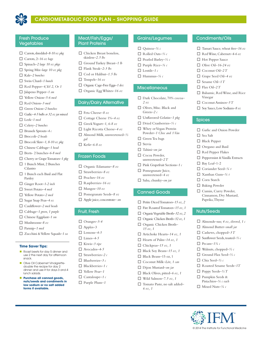

## CARDIOMETABOLIC FOOD PLAN – SHOPPING GUIDE

### Fresh Produce Vegetables

- □ Carrots, shredded-8-10 oz pkg
- □ Carrots, 2–16 oz bags
- □ Spinach–2 large 10 oz pkgs
- o Spring Mix*–large 10 oz pkg*
- □ Kale-2 bunches
- □ Swiss Chard-1 bunch
- $\Box$  Red Pepper-4, Yel 2, Or 1
- □ Jalapeno Pepper-1 sm
- □ Yellow Onion-5-6 med
- □ Red Onion–3 med
- □ Green Onion–2 bunches
- □ Garlic-4-5 bulbs or 32 oz jar minced
- □ Leek-1 med
- □ Celery-2 bunches
- o Brussels Sprouts*–4 c*
- □ Broccoli-2 heads
- $\Box$  Broccoli Slaw-1, 8-10 oz pkg
- □ Chinese Cabbage–1 head
- □ Beets- 2 bunches-6-8 med
- □ Cherry or Grape Tomatoes-1 pkg
- $\Box$  1 Bunch Mint, 2 Bunches Cilantro
- $\Box$  1 Bunch each Basil and Flat Parsley
- □ Ginger Root-1-2 inch
- □ Sweet Potato-4 med
- □ Yellow Potato-2 med
- □ Sugar Snap Peas-4 oz
- □ Cauliflower-2 med heads
- □ Cabbage-1 green, 1 purple
- □ Chinese Eggplant-1 sm
- o Mushrooms*–8 oz*
- □ Parsnip-1 med
- □ Zucchini & Yellow Squash-1 ea

#### **Time Saver Tips:**

- **n** Roast beets for day 5 dinner and use 2 the next day for afternoon snack.
- **n** Olive Oil Cabernet Vinaigrettedouble the recipe for day 2 dinner and use it for days 3 and 4 lunch salads.
- **n** Purchase all canned goods, **nuts/seeds and condiments in low sodium or no salt added forms if available.**

### Meat/Fish/Eggs/ Plant Proteins

- $\Box$  Chicken Breast boneless, skinless*–2.5 lbs*
- □ Ground Turkey Breast-1 *lb*
- □ Flank Steak-2-3 lbs
- □ Cod or Halibut-1.5 lbs
- $\Box$  Tempeh–16 oz
- □ Organic Cage-Free Eggs-1 doz
- □ Organic Egg Whites-16 oz

#### Dairy/Dairy Alternative

- o Feta Cheese*–8 oz*
- □ Cottage Cheese 1%–4 oz
- o Greek Yogurt*–1, 6-8 oz*
- □ Light Ricotta Cheese-4 oz
- □ Almond Milk, unsweetened-½
- $\Box$  Kefir–6-8 oz

*gal*

### Frozen Foods

- □ Organic Edamame-8 oz
- o Strawberries*–8 oz*
- o Peaches*–16 oz*
- o Raspberries*–16 oz*
- $\Box$  Mangos-10 oz
- □ Pomegranate Seeds-8 oz
- □ Apple juice, concentrate– sm

### Fruit, Fresh

- $\Box$  Oranges-3-4
- $\Box$  Apples–3
- $\Box$  Lemons-4-5
- $\square$  Limes-4-5
- □ Kiwis-3 ripe
- □ Avocados-4-5
- o Strawberries*–2 c*
- o Blueberries*–3 c*
- o Blackberries*–1 c*
- □ Yellow Pear-1
- $\Box$  Cantaloupe–1  $c$
- □ Purple Plum-1

### Grains/Legumes

Condiments/Oils

 $\Box$  Hot Pepper Sauce  $\Box$  Olive Oil–16-24 oz □ Coconut Oil-2 T o Grape Seed Oil*–4 oz* □ Sesame Oil–1 T  $\Box$  Flax Oil–2 T

Vinegar

Spices

 $\square$  Sea Salt  $\Box$  Black Pepper  $\Box$  Oregano and Basil  $\Box$  Red Pepper Flakes

 $\Box$  Bay Leaf-1-2 o Coriander Seed*–¼ t* o Xanthan Gum*–¼ t*  $\square$  Corn Starch  $\Box$  Baking Powder  $\Box$  Cumin, Curry Powder, Cinnamon, Dry Mustard, Paprika, Thyme

Nuts/Seeds

 $\Box$  Pecans–1<sup>3</sup>/4 c

o Walnuts, chopped*–½ c*  $\Box$  Ground Flax Seed-½ c o Chia Seed*–½ c*

□ Roasted Sesame Seeds-1T  $\Box$  Poppy Seeds– $\frac{1}{2}$  T  $\square$  Pumpkin Seeds & Pistachios*–¼ c each* o Mixed Nuts*–¼ c*

□ Tamari Sauce, wheat free–16 oz o Red Wine, Cabernet*–4-6 oz*

 $\Box$  Balsamic, Red Wine, and Rice

 $\Box$  Coconut Aminos-5 T □ Soy Sauce, Low Sodium-8 oz

 $\Box$  Garlic and Onion Powder

 $\Box$  Peppermint & Vanilla Extracts

□ Almonds–raw, 4 oz, slivered, 1 c □ Almond Butter-small jar  $\Box$  Cashews, chopped–3 T o Sunflower Seeds, toasted*–⅔ c*

- o Quinoa*–¾ c*
- o Rolled Oats*–⅔ c*
- o Pearled Barley*–½ c*
- o Purple Rice*–¾ c*
- $\Box$  Lentils–1 c
- $\Box$  Hummus- $\frac{1}{4}c$

### **Miscellaneous**

- □ Dark Chocolate, 70% cocoa-*2 oz*
- $\Box$  Olives, Misc. Black and Green*–2 c*
- □ Unflavored Gelatin-1 pkg
- o Dried Cranberries*–⅓ c*
- $\Box$  Whey or Vegan Protein Powder*–1 Choc and 1 Van*
- $\Box$  Green Tea bags
- $\Box$  Stevia
- o Tahini*–sm jar*
- $\Box$  Cocoa Powder, unsweetened*–2 T*
- □ Pink Grapefruit Sections–1 c
- $\hfill\Box$  Pomegranate Juice, unsweetened*–4 oz*
- o Salsa, chunky*–sm jar*

### Canned Goods

*15 oz, 1*

*6 oz, 1*

- □ Petite Diced Tomatoes-15 oz, 2
- $\Box$  Fire Roasted Tomatoes–15 oz, 1
- $\Box$  Organic Vegetable Broth–32 oz, 2
- □ Organic Chicken Broth–32 oz, 1 □ Organic Chicken Broth–

□ Artichoke Hearts–14 oz, 1  $\Box$  Hearts of Palm-14 oz, 1  $\Box$  Chickpeas-15 oz, 1  $\Box$  Black Soy Beans-15 oz, 1  $\Box$  Black Beans–15 oz, 1 □ Coconut Milk–Lite, 1 can □ Dijon Mustard-sm jar  $\Box$  Black Olives, pitted–6 oz, 1  $\Box$  Wild Salmon–7.5 oz, 1 □ Tomato Paste, no salt added-

© 2014 The Institute for Functional Medicine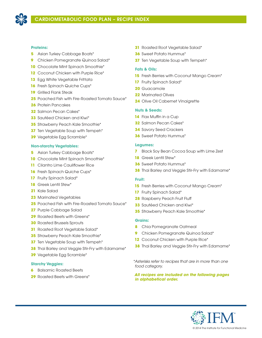

### **Proteins:**

- Asian Turkey Cabbage Boats\*
- Chicken Pomegranate Quinoa Salad\*
- Chocolate Mint Spinach Smoothie\*
- Coconut Chicken with Purple Rice\*
- Egg White Vegetable Frittata
- Fresh Spinach Quiche Cups\*
- Grilled Flank Steak
- Poached Fish with Fire-Roasted Tomato Sauce\*
- Protein Pancakes
- Salmon Pecan Cakes\*
- Sautéed Chicken and Kiwi\*
- Strawberry Peach Kale Smoothie\*
- **37** Ten Vegetable Soup with Tempeh<sup>\*</sup>
- Vegetable Egg Scramble\*

### **Non-starchy Vegetables:**

- Asian Turkey Cabbage Boats\*
- **10** Chocolate Mint Spinach Smoothie<sup>\*</sup>
- Cilantro Lime Cauliflower Rice
- **16** Fresh Spinach Quiche Cups<sup>\*</sup>
- 17 Fruity Spinach Salad\*
- Greek Lentil Stew\*
- Kale Salad
- Marinated Vegetables
- Poached Fish with Fire-Roasted Tomato Sauce\*
- Purple Cabbage Salad
- Roasted Beets with Greens\*
- Roasted Brussels Sprouts
- Roasted Root Vegetable Salad\*
- Strawberry Peach Kale Smoothie\*
- **37** Ten Vegetable Soup with Tempeh<sup>\*</sup>
- Thai Barley and Veggie Stir-Fry with Edamame\*
- Vegetable Egg Scramble\*

### **Starchy Veggies:**

- Balsamic Roasted Beets
- Roasted Beets with Greens\*
- Roasted Root Vegetable Salad\*
- Sweet Potato Hummus\*
- **37** Ten Vegetable Soup with Tempeh<sup>\*</sup>

### **Fats & Oils:**

- Fresh Berries with Coconut Mango Cream\*
- Fruity Spinach Salad\*
- Guacamole
- Marinated Olives
- Olive Oil Cabernet Vinaigrette

### **Nuts & Seeds:**

- Flax Muffin in a Cup
- Salmon Pecan Cakes\*
- Savory Seed Crackers
- Sweet Potato Hummus\*

### **Legumes:**

- Black Soy Bean Cocoa Soup with Lime Zest
- Greek Lentil Stew\*
- Sweet Potato Hummus\*
- Thai Barley and Veggie Stir-Fry with Edamame\*

### **Fruit:**

- **15** Fresh Berries with Coconut Mango Cream<sup>\*</sup>
- Fruity Spinach Salad\*
- Raspberry Peach Fruit Fluff
- Sautéed Chicken and Kiwi\*
- Strawberry Peach Kale Smoothie\*

### **Grains:**

- Chia Pomegranate Oatmeal
- Chicken Pomegranate Quinoa Salad\*
- 12 Coconut Chicken with Purple Rice\*
- Thai Barley and Veggie Stir-Fry with Edamame\*

*\*Asterisks refer to recipes that are in more than one food category.* 

*All recipes are included on the following pages in alphabetical order.*

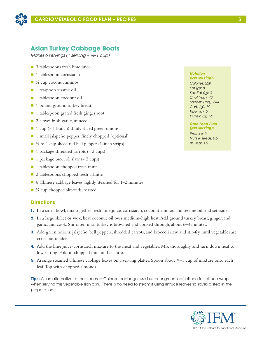

## **Asian Turkey Cabbage Boats**

*Makes 6 servings (1 serving ≈ ¾–1 cup)*

- $\Box$  3 tablespoons fresh lime juice
- 1 tablespoon cornstarch
- $\blacksquare$  ¼ cup coconut aminos
- 1 teaspoon sesame oil
- 1 tablespoon coconut oil
- 1 pound ground turkey breast
- 1 tablespoon grated fresh ginger root
- 2 cloves fresh garlic, minced
- 1 cup ( $\approx$  1 bunch) thinly sliced green onions
- 1 small jalapeño pepper, finely chopped (optional)
- $\Box$  ½ to 1 cup sliced red bell pepper (1-inch strips)
- 1 package shredded carrots (≈ 2 cups)
- 1 package broccoli slaw (≈ 2 cups)
- $\blacksquare$  1 tablespoon chopped fresh mint
- 2 tablespoons chopped fresh cilantro
- 6 Chinese cabbage leaves, lightly steamed for 1–2 minutes
- ¼ cup chopped almonds, roasted

### **Directions**

- **1.** In a small bowl, mix together fresh lime juice, cornstarch, coconut aminos, and sesame oil, and set aside.
- **2.** In a large skillet or wok, heat coconut oil over medium-high heat. Add ground turkey breast, ginger, and garlic, and cook. Stir often until turkey is browned and cooked through, about 6–8 minutes.
- **3.** Add green onions, jalapeño, bell peppers, shredded carrots, and broccoli slaw, and stir-fry until vegetables are crisp, but tender.
- **4.** Add the lime juice-cornstarch mixture to the meat and vegetables. Mix thoroughly, and turn down heat to low setting. Fold in chopped mint and cilantro.
- **5.**. Arrange steamed Chinese cabbage leaves on a serving platter. Spoon about ¾–1 cup of mixture onto each leaf. Top with chopped almonds

**Tips:** As an alternative to the steamed Chinese cabbage, use butter or green leaf lettuce for lettuce wraps when serving this vegetable rich dish. There is no need to steam if using lettuce leaves so saves a step in the preparation.

#### *Nutrition (per serving):*

*Calories: 229 Fat (g): 8 Sat. Fat (g): 3 Chol (mg): 40 Sodium (mg): 344 Carb (g): 19 Fiber (g): 5 Protein (g): 22*

#### *Core Food Plan (per serving):*

*Proteins: 2 Nuts & seeds: 0.5 ns Veg: 3.5*

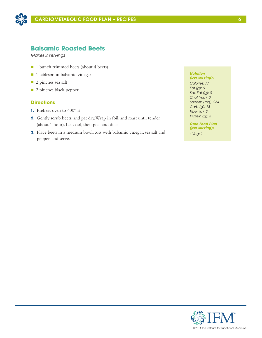

## **Balsamic Roasted Beets**

*Makes 2 servings*

- 1 bunch trimmed beets (about 4 beets)
- n 1 tablespoon balsamic vinegar
- 2 pinches sea salt
- **n** 2 pinches black pepper

### **Directions**

- **1.** Preheat oven to 400° F.
- **2.** Gently scrub beets, and pat dry. Wrap in foil, and roast until tender (about 1 hour). Let cool, then peel and dice.
- **3.** Place beets in a medium bowl, toss with balsamic vinegar, sea salt and pepper, and serve.

#### *Nutrition (per serving):*

*Calories: 77 Fat (g): 0 Sat. Fat (g): 0 Chol (mg): 0 Sodium (mg): 264 Carb (g): 18 Fiber (g): 3 Protein (g): 3*

*Core Food Plan (per serving):*

*s Veg: 1*

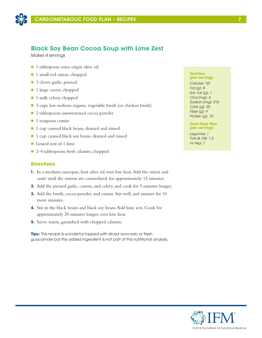

## **Black Soy Bean Cocoa Soup with Lime Zest**

*Makes 4 servings*

- 1 tablespoon extra virgin olive oil
- 1 small red onion, chopped
- 3 cloves garlic, pressed
- 1 large carrot, chopped
- 1 stalk celery, chopped
- 3 cups low-sodium organic vegetable broth (or chicken broth)
- 2 tablespoons unsweetened cocoa powder
- $\blacksquare$  1 teaspoon cumin
- 1 cup canned black beans, drained and rinsed
- 1 cup canned black soy beans, drained and rinsed
- Grated zest of 1 lime
- 2–4 tablespoons fresh cilantro, chopped

### **Directions**

- **1.** In a medium saucepan, heat olive oil over low heat. Add the onion and sauté until the onions are caramelized, for approximately 15 minutes.
- **2.** Add the pressed garlic, carrots, and celery, and cook for 5 minutes longer.
- **3.** Add the broth, cocoa powder, and cumin. Stir well, and simmer for 10 more minutes.
- **4.** Stir in the black beans and black soy beans. Add lime zest. Cook for approximately 20 minutes longer, over low heat.
- **5.** Serve warm, garnished with chopped cilantro.

**Tips:** This recipe is wonderful topped with sliced avocado or fresh guacamole but this added ingredient is not part of this nutritional analysis.

#### *Nutrition (per serving):*

*Calories: 181 Fat (g): 8 Sat. Fat (g): 1 Chol (mg): 4 Sodium (mg): 216 Carb (g): 20 Fiber (g): 9 Protein (g): 10*

### *Core Food Plan (per serving):*

*Legumes: 1 Fats & Oils: 1.5 ns Veg: 1*

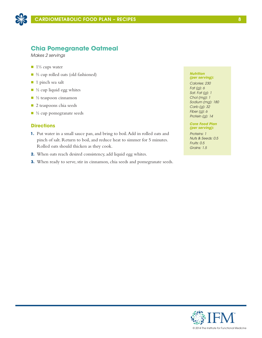

## **Chia Pomegranate Oatmeal**

*Makes 2 servings*

- $\blacksquare$  1<sup>1</sup>⁄<sub>3</sub> cups water
- ⅔ cup rolled oats (old fashioned)
- 1 pinch sea salt
- $\blacksquare$  ½ cup liquid egg whites
- $\blacksquare$  ½ teaspoon cinnamon
- **n** 2 teaspoons chia seeds
- $\blacksquare$  ½ cup pomegranate seeds

### **Directions**

- **1.** Put water in a small sauce pan, and bring to boil. Add in rolled oats and pinch of salt. Return to boil, and reduce heat to simmer for 5 minutes. Rolled oats should thicken as they cook.
- **2.** When oats reach desired consistency, add liquid egg whites.
- **3.** When ready to serve, stir in cinnamon, chia seeds and pomegranate seeds.

#### *Nutrition (per serving):*

*Calories: 230 Fat (g): 6 Sat. Fat (g): 1 Chol (mg): 1 Sodium (mg): 180 Carb (g): 32 Fiber (g): 6 Protein (g): 14*

#### *Core Food Plan (per serving):*

*Proteins: 1 Nuts & Seeds: 0.5 Fruits: 0.5 Grains: 1.5*

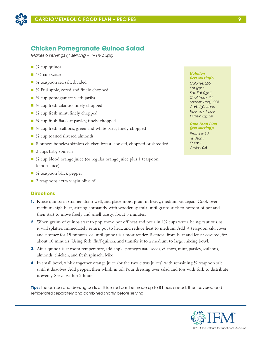

## **Chicken Pomegranate Quinoa Salad**

*Makes 6 servings (1 serving ≈ 1–1½ cups)*

- $\blacksquare$   $\frac{3}{4}$  cup quinoa
- $\blacksquare$  1<sup>3</sup>/<sub>4</sub> cup water
- $\blacksquare$   $\frac{3}{4}$  teaspoon sea salt, divided
- $\blacksquare$  ½ Fuji apple, cored and finely chopped
- $\Box$  ½ cup pomegranate seeds (arils)
- ⅓ cup fresh cilantro, finely chopped
- $\blacksquare$  ¼ cup fresh mint, finely chopped
- $\blacksquare$  ¼ cup fresh flat-leaf parsley, finely chopped
- ⅓ cup fresh scallions, green and white parts, finely chopped
- $\blacksquare$  ¼ cup toasted slivered almonds
- 8 ounces boneless skinless chicken breast, cooked, chopped or shredded
- $\Box$  2 cups baby spinach
- $\blacksquare$  ¼ cup blood orange juice (or regular orange juice plus 1 teaspoon lemon juice)
- $\blacksquare$  ¼ teaspoon black pepper
- $\Box$  2 teaspoons extra virgin olive oil

### **Directions**

- **1.** Rinse quinoa in strainer, drain well, and place moist grain in heavy, medium saucepan. Cook over medium-high heat, stirring constantly with wooden spatula until grains stick to bottom of pot and then start to move freely and smell toasty, about 5 minutes.
- **2.** When grains of quinoa start to pop, move pot off heat and pour in 1<sup>3</sup>/<sub>2</sub> cups water, being cautious, as it will splatter. Immediately return pot to heat, and reduce heat to medium. Add ¼ teaspoon salt, cover and simmer for 15 minutes, or until quinoa is almost tender. Remove from heat and let sit covered, for about 10 minutes. Using fork, fluff quinoa, and transfer it to a medium to large mixing bowl.
- **3.** After quinoa is at room temperature, add apple, pomegranate seeds, cilantro, mint, parsley, scallions, almonds, chicken, and fresh spinach. Mix.
- **4.** In small bowl, whisk together orange juice (or the two citrus juices) with remaining  $\frac{1}{2}$  teaspoon salt until it dissolves. Add pepper, then whisk in oil. Pour dressing over salad and toss with fork to distribute it evenly. Serve within 2 hours.

**Tips:** The quinoa and dressing parts of this salad can be made up to 8 hours ahead, then covered and refrigerated separately and combined shortly before serving.

#### *Nutrition (per serving):*

*Calories: 205 Fat (g): 9 Sat. Fat (g): 1 Chol (mg): 74 Sodium (mg): 228 Carb (g): trace Fiber (g): trace Protein (g): 28*

#### *Core Food Plan (per serving):*

*Proteins: 1.5 ns Veg: 1 Fruits: 1 Grains: 0.5*

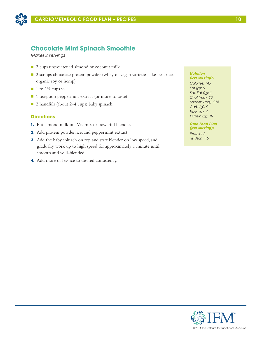

## **Chocolate Mint Spinach Smoothie**

*Makes 2 servings*

- 2 cups unsweetened almond or coconut milk
- 2 scoops chocolate protein powder (whey or vegan varieties, like pea, rice, organic soy or hemp)
- $\blacksquare$  1 to 1½ cups ice
- 1 teaspoon peppermint extract (or more, to taste)
- 2 handfuls (about 2–4 cups) baby spinach

### **Directions**

- **1.** Put almond milk in a Vitamix or powerful blender.
- **2.** Add protein powder, ice, and peppermint extract.
- **3.** Add the baby spinach on top and start blender on low speed, and gradually work up to high speed for approximately 1 minute until smooth and well-blended.
- **4.** Add more or less ice to desired consistency.

#### *Nutrition (per serving):*

*Calories: 146 Fat (g): 5 Sat. Fat (g): 1 Chol (mg): 30 Sodium (mg): 278 Carb (g): 9 Fiber (g): 4 Protein (g): 19*

*Core Food Plan (per serving):*

*Protein: 2 ns Veg: 1.5*

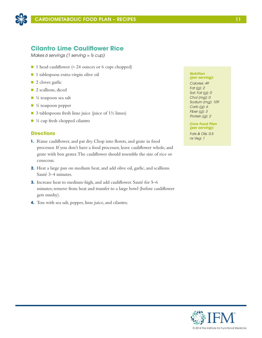

## **Cilantro Lime Cauliflower Rice**

*Makes 6 servings (1 serving ≈ ½ cup)*

- 1 head cauliflower (≈ 24 ounces or 6 cups chopped)
- n 1 tablespoon extra-virgin olive oil
- $\blacksquare$  2 cloves garlic
- **n** 2 scallions, diced
- $\blacksquare$  ¼ teaspoon sea salt
- $\blacksquare$  ¼ teaspoon pepper
- $\Box$  3 tablespoons fresh lime juice (juice of 1½ limes)
- $\blacksquare$  ¼ cup fresh chopped cilantro

### **Directions**

- **1.** Rinse cauliflower, and pat dry. Chop into florets, and grate in food processor. If you don't have a food processor, leave cauliflower whole, and grate with box grater. The cauliflower should resemble the size of rice or couscous.
- **2.** Heat a large pan on medium heat, and add olive oil, garlic, and scallions. Sauté 3–4 minutes.
- **3.** Increase heat to medium-high, and add cauliflower. Sauté for 5–6 minutes; remove from heat and transfer to a large bowl (before cauliflower gets mushy).
- **4.** Toss with sea salt, pepper, lime juice, and cilantro.

#### *Nutrition (per serving):*

*Calories: 49 Fat (g): 2 Sat. Fat (g): 0 Chol (mg): 0 Sodium (mg): 109 Carb (g): 6 Fiber (g): 3 Protein (g): 2*

*Core Food Plan (per serving):*

*Fats & Oils: 0.5 ns Veg: 1*

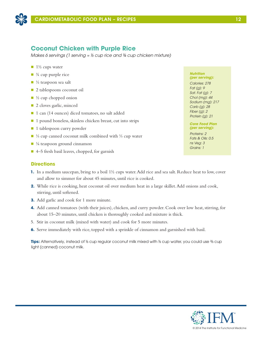

## **Coconut Chicken with Purple Rice**

*Makes 6 servings (1 serving ≈ ⅓ cup rice and ¾ cup chicken mixture)*

- $\blacksquare$  1½ cups water
- $\blacksquare$   $\frac{3}{4}$  cup purple rice
- $\blacksquare$  ½ teaspoon sea salt
- 2 tablespoons coconut oil
- $\blacksquare$  ½ cup chopped onion
- 2 cloves garlic, minced
- 1 can (14 ounces) diced tomatoes, no salt added
- 1 pound boneless, skinless chicken breast, cut into strips
- 1 tablespoon curry powder
- <sup>1</sup>/<sub>3</sub> cup canned coconut milk combined with <sup>1</sup>/<sub>3</sub> cup water
- $\blacksquare$  <sup>1</sup>/<sub>8</sub> teaspoon ground cinnamon
- $\blacksquare$  4–5 fresh basil leaves, chopped, for garnish

### **Directions**

- **1.** In a medium saucepan, bring to a boil 1½ cups water. Add rice and sea salt. Reduce heat to low, cover and allow to simmer for about 45 minutes, until rice is cooked.
- **2.** While rice is cooking, heat coconut oil over medium heat in a large skillet. Add onions and cook, stirring, until softened.
- **3.** Add garlic and cook for 1 more minute.
- **4.** Add canned tomatoes (with their juices), chicken, and curry powder. Cook over low heat, stirring, for about 15–20 minutes, until chicken is thoroughly cooked and mixture is thick.
- 5. Stir in coconut milk (mixed with water) and cook for 5 more minutes.
- **6.** Serve immediately with rice, topped with a sprinkle of cinnamon and garnished with basil.

**Tips:** Alternatively, instead of ⅓ cup regular coconut milk mixed with ⅓ cup water, you could use ⅔ cup light (canned) coconut milk.

#### *Nutrition (per serving):*

*Calories: 278 Fat (g): 9 Sat. Fat (g): 7 Chol (mg): 44 Sodium (mg): 217 Carb (g): 28 Fiber (g): 2 Protein (g): 21*

### *Core Food Plan (per serving):*

*Proteins: 2 Fats & Oils: 0.5 ns Veg: 3 Grains: 1*

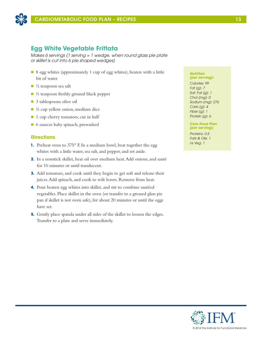

## **Egg White Vegetable Frittata**

*Makes 6 servings (1 serving = 1 wedge, when round glass pie plate or skillet is cut into 6 pie shaped wedges)*

- 8 egg whites (approximately 1 cup of egg whites), beaten with a little bit of water
- $\blacksquare$  ½ teaspoon sea salt
- $\blacksquare$  ¼ teaspoon freshly ground black pepper
- 3 tablespoons olive oil
- $\blacksquare$  ½ cup yellow onion, medium dice
- 1 cup cherry tomatoes, cut in half
- 6 ounces baby spinach, prewashed

### **Directions**

- **1.** Preheat oven to 375° F. In a medium bowl, beat together the egg whites with a little water, sea salt, and pepper, and set aside.
- **2.** In a nonstick skillet, heat oil over medium heat. Add onions, and sauté for 10 minutes or until translucent.
- **3.** Add tomatoes, and cook until they begin to get soft and release their juices. Add spinach, and cook to wilt leaves. Remove from heat.
- **4.** Pour beaten egg whites into skillet, and stir to combine sautéed vegetables. Place skillet in the oven (or transfer to a greased glass pie pan if skillet is not oven safe), for about 20 minutes or until the eggs have set.
- **5.** Gently place spatula under all sides of the skillet to loosen the edges. Transfer to a plate and serve immediately.

### *Nutrition*

*(per serving): Calories: 99 Fat (g): 7 Sat. Fat (g): 1 Chol (mg): 0 Sodium (mg): 276 Carb (g): 4 Fiber (g): 1 Protein (g): 6*

### *Core Food Plan (per serving):*

*Proteins: 0.5 Fats & Oils: 1 ns Veg: 1*

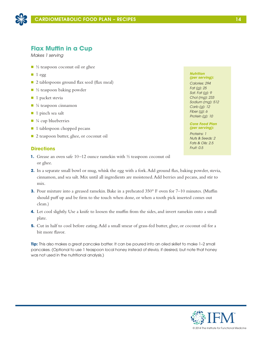

## **Flax Muffin in a Cup**

*Makes 1 serving*

- $\blacksquare$  ½ teaspoon coconut oil or ghee
- $\blacksquare$  1 egg
- 2 tablespoons ground flax seed (flax meal)
- $\blacksquare$  ½ teaspoon baking powder
- $\blacksquare$  1 packet stevia
- $\blacksquare$  ¼ teaspoon cinnamon
- $\blacksquare$  1 pinch sea salt
- $\blacksquare$  ¼ cup blueberries
- 1 tablespoon chopped pecans
- 2 teaspoon butter, ghee, or coconut oil

### **Directions**

- **1.** Grease an oven safe 10–12 ounce ramekin with ½ teaspoon coconut oil or ghee.
- **2.** In a separate small bowl or mug, whisk the egg with a fork. Add ground flax, baking powder, stevia, cinnamon, and sea salt. Mix until all ingredients are moistened. Add berries and pecans, and stir to mix.
- **3.** Pour mixture into a greased ramekin. Bake in a preheated 350° F oven for 7–10 minutes. (Muffin should puff up and be firm to the touch when done, or when a tooth pick inserted comes out clean.)
- **4.** Let cool slightly. Use a knife to loosen the muffin from the sides, and invert ramekin onto a small plate.
- **5.** Cut in half to cool before eating. Add a small smear of grass-fed butter, ghee, or coconut oil for a bit more flavor.

**Tip:** This also makes a great pancake batter. It can be poured into an oiled skillet to make 1–2 small pancakes. (Optional to use 1 teaspoon local honey instead of stevia, if desired, but note that honey was not used in the nutritional analysis.)

#### *Nutrition (per serving):*

*Calories: 294 Fat (g): 25 Sat. Fat (g): 9 Chol (mg): 233 Sodium (mg): 512 Carb (g): 12 Fiber (g): 6 Protein (g): 10*

### *Core Food Plan (per serving):*

*Proteins: 1 Nuts & Seeds: 2 Fats & Oils: 2.5 Fruit: 0.5*

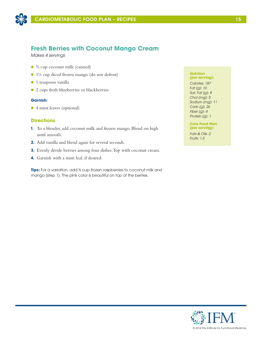

## **Fresh Berries with Coconut Mango Cream**

*Makes 4 servings*

- ⅔ cup coconut milk (canned)
- 1⅓ cup diced frozen mango (do not defrost)
- $\blacksquare$  1 teaspoon vanilla
- 2 cups fresh blueberries or blackberries

### **Garnish:**

■ 4 mint leaves (optional)

### **Directions**

- **1.** To a blender, add coconut milk and frozen mango. Blend on high until smooth.
- **2.** Add vanilla and blend again for several seconds.
- **3.** Evenly divide berries among four dishes. Top with coconut cream.
- **4.** Garnish with a mint leaf, if desired.

**Tips:** For a variation, add ⅓ cup frozen raspberries to coconut milk and mango (step 1). The pink color is beautiful on top of the berries.

#### *Nutrition (per serving):*

*Calories: 187 Fat (g): 10 Sat. Fat (g): 8 Chol (mg): 0 Sodium (mg): 11 Carb (g): 26 Fiber (g): 4 Protein (g): 1*

*Core Food Plan (per serving):*

*Fats & Oils: 2 Fruits: 1.5*

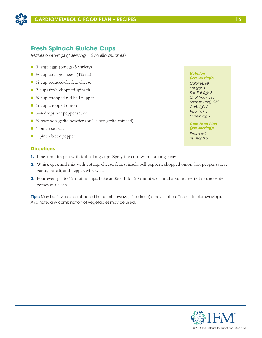

## **Fresh Spinach Quiche Cups**

*Makes 6 servings (1 serving = 2 muffin quiches)*

- 3 large eggs (omega-3 variety)
- $\blacksquare$  ½ cup cottage cheese (1% fat)
- $\blacksquare$  ¼ cup reduced-fat feta cheese
- 2 cups fresh chopped spinach
- $\blacksquare$  ¼ cup chopped red bell pepper
- $\blacksquare$  ¼ cup chopped onion
- 3–4 drops hot pepper sauce
- $\blacksquare$  ½ teaspoon garlic powder (or 1 clove garlic, minced)
- $\blacksquare$  1 pinch sea salt
- 1 pinch black pepper

### **Directions**

- **1.** Line a muffin pan with foil baking cups. Spray the cups with cooking spray.
- **2.** Whisk eggs, and mix with cottage cheese, feta, spinach, bell peppers, chopped onion, hot pepper sauce, garlic, sea salt, and pepper. Mix well.
- **3.** Pour evenly into 12 muffin cups. Bake at 350° F for 20 minutes or until a knife inserted in the center comes out clean.

**Tips:** May be frozen and reheated in the microwave, if desired (remove foil muffin cup if microwaving). Also note, any combination of vegetables may be used.

*Nutrition (per serving):*

*Calories: 68 Fat (g): 3 Sat. Fat (g): 2 Chol (mg): 110 Sodium (mg): 262 Carb (g): 2 Fiber (g): 1 Protein (g): 8*

*Core Food Plan (per serving):*

*Proteins: 1 ns Veg: 0.5*

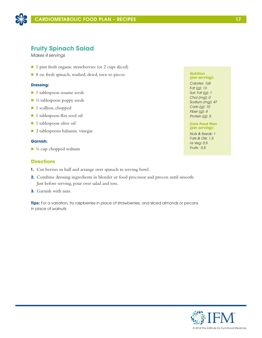

## **Fruity Spinach Salad**

*Makes 4 servings*

- 1 pint fresh organic strawberries (or 2 cups sliced)
- 8 oz. fresh spinach, washed, dried, torn to pieces

### **Dressing:**

- **n** 1 tablespoon sesame seeds
- $\blacksquare$  ½ tablespoon poppy seeds
- 1 scallion, chopped
- 1 tablespoon flax seed oil
- 1 tablespoon olive oil
- 2 tablespoons balsamic vinegar

### **Garnish:**

 $\blacksquare$  ¼ cup chopped walnuts

### **Directions**

- **1.** Cut berries in half and arrange over spinach in serving bowl.
- **2.** Combine dressing ingredients in blender or food processor and process until smooth. Just before serving, pour over salad and toss.
- **3.** Garnish with nuts.

**Tips:** For a variation, try raspberries in place of strawberries, and sliced almonds or pecans in place of walnuts.

#### *Nutrition (per serving):*

*Calories: 165 Fat (g): 13 Sat. Fat (g): 1 Chol (mg): 0 Sodium (mg): 47 Carb (g): 10 Fiber (g): 4 Protein (g): 5*

### *Core Food Plan (per serving):*

*Nuts & Seeds: 1 Fats & Oils: 1.5 ns Veg: 0.5 Fruits: 0.5*

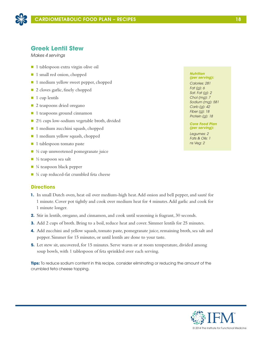

## **Greek Lentil Stew**

*Makes 4 servings*

- 1 tablespoon extra virgin olive oil
- 1 small red onion, chopped
- 1 medium yellow sweet pepper, chopped
- 2 cloves garlic, finely chopped
- $\blacksquare$  1 cup lentils
- 2 teaspoons dried oregano
- 1 teaspoons ground cinnamon
- 2½ cups low-sodium vegetable broth, divided
- 1 medium zucchini squash, chopped
- $\blacksquare$  1 medium yellow squash, chopped
- $\blacksquare$  1 tablespoon tomato paste
- $\blacksquare$  ½ cup unsweetened pomegranate juice
- $\blacksquare$  ½ teaspoon sea salt
- $\blacksquare$  ¼ teaspoon black pepper
- $\blacksquare$  ¼ cup reduced-fat crumbled feta cheese

### **Directions**

- **1.** In small Dutch oven, heat oil over medium-high heat. Add onion and bell pepper, and sauté for 1 minute. Cover pot tightly and cook over medium heat for 4 minutes. Add garlic and cook for 1 minute longer.
- **2.** Stir in lentils, oregano, and cinnamon, and cook until seasoning is fragrant, 30 seconds.
- **3.** Add 2 cups of broth. Bring to a boil, reduce heat and cover. Simmer lentils for 25 minutes.
- **4.** Add zucchini and yellow squash, tomato paste, pomegranate juice, remaining broth, sea salt and pepper. Simmer for 15 minutes, or until lentils are done to your taste.
- **5.** Let stew sit, uncovered, for 15 minutes. Serve warm or at room temperature, divided among soup bowls, with 1 tablespoon of feta sprinkled over each serving.

**Tips:** To reduce sodium content in this recipe, consider eliminating or reducing the amount of the crumbled feta cheese topping.

#### *Nutrition (per serving):*

*Calories: 281 Fat (g): 6 Sat. Fat (g): 2 Chol (mg): 7 Sodium (mg): 581 Carb (g): 42 Fiber (g): 18 Protein (g): 18*

*Core Food Plan (per serving):*

*Legumes: 2 Fats & Oils: 1 ns Veg: 2*

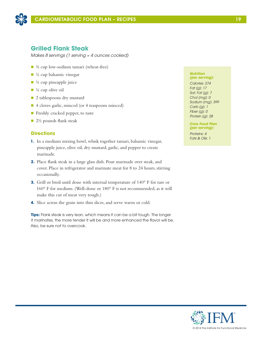

## **Grilled Flank Steak**

*Makes 8 servings (1 serving ≈ 4 ounces cooked)*

- ¾ cup low-sodium tamari (wheat-free)
- $\blacksquare$  ¼ cup balsamic vinegar
- $\blacksquare$  ¼ cup pineapple juice
- $\blacksquare$  ¼ cup olive oil
- 2 tablespoons dry mustard
- 4 cloves garlic, minced (or 4 teaspoons minced)
- $\blacksquare$  Freshly cracked pepper, to taste
- $\Box$  2½ pounds flank steak

### **Directions**

- **1.** In a medium mixing bowl, whisk together tamari, balsamic vinegar, pineapple juice, olive oil, dry mustard, garlic, and pepper to create marinade.
- **2.** Place flank steak in a large glass dish. Pour marinade over steak, and cover. Place in refrigerator and marinate meat for 8 to 24 hours, stirring occasionally.
- **3.** Grill or broil until done with internal temperature of 140° F for rare or 160° F for medium. (Well-done or 180° F is not recommended, as it will make this cut of meat very tough.)
- **4.** Slice across the grain into thin slices, and serve warm or cold.

**Tips:** Flank steak is very lean, which means it can be a bit tough. The longer it marinates, the more tender it will be and more enhanced the flavor will be. Also, be sure not to overcook.

#### *Nutrition (per serving):*

*Calories: 274 Fat (g): 17 Sat. Fat (g): 7 Chol (mg): 0 Sodium (mg): 399 Carb (g): 1 Fiber (g): 0 Protein (g): 28*

*Core Food Plan (per serving):*

*Proteins: 4 Fats & Oils: 1*

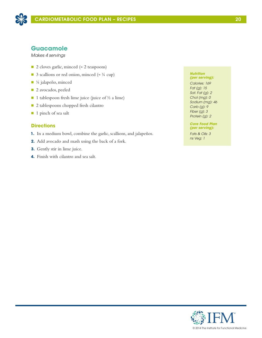

## **Guacamole**

*Makes 4 servings*

- 2 cloves garlic, minced (≈ 2 teaspoons)
- 3 scallions or red onion, minced ( $\approx$  ¼ cup)
- ¼ jalapeño, minced
- 2 avocados, peeled
- 1 tablespoon fresh lime juice (juice of  $\frac{1}{2}$  a lime)
- 2 tablespoons chopped fresh cilantro
- 1 pinch of sea salt

### **Directions**

- **1.** In a medium bowl, combine the garlic, scallions, and jalapeños.
- **2.** Add avocado and mash using the back of a fork.
- **3.** Gently stir in lime juice.
- **4.** Finish with cilantro and sea salt.

#### *Nutrition (per serving):*

*Calories: 169 Fat (g): 15 Sat. Fat (g): 2 Chol (mg): 0 Sodium (mg): 46 Carb (g): 9 Fiber (g): 3 Protein (g): 2*

#### *Core Food Plan (per serving):*

*Fats & Oils: 3 ns Veg: 1*

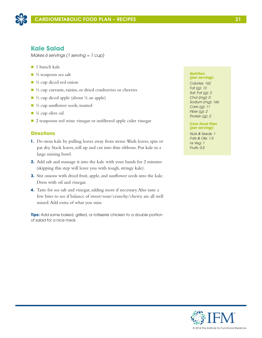

## **Kale Salad**

*Makes 6 servings (1 serving ≈ 1 cup)*

- $\blacksquare$  1 bunch kale
- $\blacksquare$  ½ teaspoon sea salt
- $\blacksquare$  ¼ cup diced red onion
- ⅓ cup currants, raisins, or dried cranberries or cherries
- <sup>1</sup>/<sub>3</sub> cup diced apple (about <sup>1</sup>/<sub>2</sub> an apple)
- ⅓ cup sunflower seeds, toasted
- $\blacksquare$  <sup>1</sup>/<sub>4</sub> cup olive oil
- 2 teaspoons red wine vinegar or unfiltered apple cider vinegar

### **Directions**

- **1.** De-stem kale by pulling leaves away from stems. Wash leaves, spin or pat dry. Stack leaves, roll up and cut into thin ribbons. Put kale in a large mixing bowl.
- **2.** Add salt and massage it into the kale with your hands for 2 minutes (skipping this step will leave you with tough, stringy kale).
- **3.** Stir onions with dried fruit, apple, and sunflower seeds into the kale. Dress with oil and vinegar.
- **4.** Taste for sea salt and vinegar, adding more if necessary. Also taste a few bites to see if balance of sweet/sour/crunchy/chewy are all well mixed. Add extra of what you miss.

**Tips:** Add some baked, grilled, or rotisserie chicken to a double portion of salad for a nice meal.

#### *Nutrition (per serving):*

*Calories: 162 Fat (g): 13 Sat. Fat (g): 2 Chol (mg): 0 Sodium (mg): 166 Carb (g): 11 Fiber (g): 2 Protein (g): 2*

### *Core Food Plan (per serving):*

*Nuts & Seeds: 1 Fats & Oils: 1.5 ns Veg: 1 Fruits: 0.5*



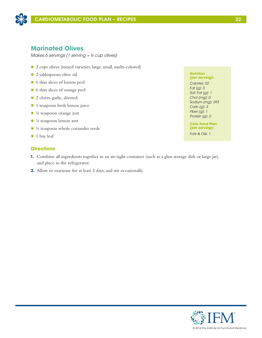

## **Marinated Olives**

*Makes 6 servings (1 serving ≈ ⅓ cup olives)*

- 2 cups olives (mixed varieties, large, small, multi-colored)
- **n** 2 tablespoons olive oil
- n 6 thin slices of lemon peel
- 6 thin slices of orange peel
- 2 cloves garlic, slivered
- 1 teaspoon fresh lemon juice
- $\blacksquare$  ¼ teaspoon orange zest
- $\blacksquare$  ¼ teaspoon lemon zest
- $\blacksquare$  ¼ teaspoon whole coriander seeds
- $\blacksquare$  1 bay leaf

### **Directions**

- **1.** Combine all ingredients together in an air-tight container (such as a glass storage dish or large jar), and place in the refrigerator.
- **2.** Allow to marinate for at least 2 days, and stir occasionally.

*Nutrition (per serving):*

*Calories: 52 Fat (g): 5 Sat. Fat (g): 1 Chol (mg): 0 Sodium (mg): 393 Carb (g): 3 Fiber (g): 1 Protein (g): 0*

*Core Food Plan (per serving): Fats & Oils: 1*

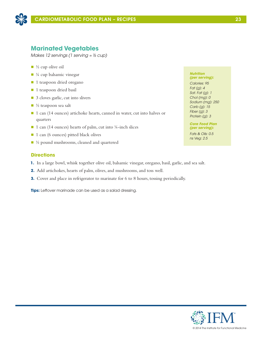

## **Marinated Vegetables**

*Makes 12 servings (1 serving ≈ ½ cup)*

- $\blacksquare$  ½ cup olive oil
- $\blacksquare$  ¼ cup balsamic vinegar
- 1 teaspoon dried oregano
- 1 teaspoon dried basil
- 3 cloves garlic, cut into slivers
- $\blacksquare$  ½ teaspoon sea salt
- 1 can (14 ounces) artichoke hearts, canned in water, cut into halves or quarters
- $\blacksquare$  1 can (14 ounces) hearts of palm, cut into ¼-inch slices
- 1 can (6 ounces) pitted black olives
- $\blacksquare$  ½ pound mushrooms, cleaned and quartered

### **Directions**

- **1.** In a large bowl, whisk together olive oil, balsamic vinegar, oregano, basil, garlic, and sea salt.
- **2.** Add artichokes, hearts of palm, olives, and mushrooms, and toss well.
- **3.** Cover and place in refrigerator to marinate for 6 to 8 hours, tossing periodically.

**Tips:** Leftover marinade can be used as a salad dressing.

#### *Nutrition (per serving):*

*Calories: 95 Fat (g): 4 Sat. Fat (g): 1 Chol (mg): 0 Sodium (mg): 250 Carb (g): 15 Fiber (g): 3 Protein (g): 3*

#### *Core Food Plan (per serving):*

*Fats & Oils: 0.5 ns Veg: 2.5*

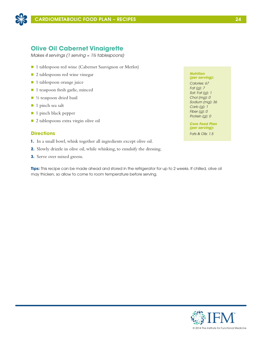

## **Olive Oil Cabernet Vinaigrette**

*Makes 4 servings (1 serving ≈ 1½ tablespoons)*

- 1 tablespoon red wine (Cabernet Sauvignon or Merlot)
- 2 tablespoons red wine vinegar
- 1 tablespoon orange juice
- 1 teaspoon fresh garlic, minced
- $\blacksquare$  ½ teaspoon dried basil
- 1 pinch sea salt
- 1 pinch black pepper
- n 2 tablespoons extra virgin olive oil

### **Directions**

- **1.** In a small bowl, whisk together all ingredients except olive oil.
- **2.** Slowly drizzle in olive oil, while whisking, to emulsify the dressing.
- **3.** Serve over mixed greens.

**Tips:** This recipe can be made ahead and stored in the refrigerator for up to 2 weeks. If chilled, olive oil may thicken, so allow to come to room temperature before serving.

#### *Nutrition (per serving):*

*Calories: 67 Fat (g): 7 Sat. Fat (g): 1 Chol (mg): 0 Sodium (mg): 36 Carb (g): 1 Fiber (g): 0 Protein (g): 0*

*Core Food Plan (per serving): Fats & Oils: 1.5* 

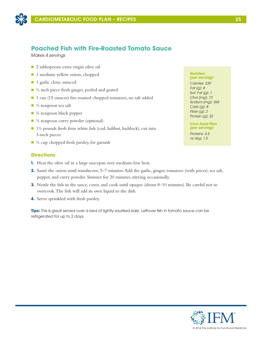

## **Poached Fish with Fire-Roasted Tomato Sauce**

*Makes 4 servings*

- 2 tablespoons extra virgin olive oil
- 1 medium yellow onion, chopped
- 1 garlic clove, minced
- $\blacksquare$  ½ inch piece fresh ginger, peeled and grated
- 1 can (15 ounces) fire-roasted chopped tomatoes, no salt added
- $\blacksquare$  ½ teaspoon sea salt
- $\blacksquare$  ¼ teaspoon black pepper
- $\blacksquare$  ½ teaspoon curry powder (optional)
- $\blacksquare$  1½ pounds fresh firm white fish (cod, halibut, haddock), cut into 3-inch pieces
- $\blacksquare$  ½ cup chopped fresh parsley, for garnish

### **Directions**

- **1.** Heat the olive oil in a large saucepan over medium-low heat.
- **2.** Sauté the onion until translucent, 5–7 minutes. Add the garlic, ginger, tomatoes (with juices), sea salt, pepper, and curry powder. Simmer for 20 minutes, stirring occasionally.
- **3.** Nestle the fish in the sauce, cover, and cook until opaque (about 8–10 minutes). Be careful not to overcook. The fish will add its own liquid to the dish.
- **4.** Serve sprinkled with fresh parsley.

**Tips:** This is great served over a bed of lightly sautéed kale. Leftover fish in tomato sauce can be refrigerated for up to 2 days.

#### *Nutrition (per serving):*

*Calories: 239 Fat (g): 8 Sat. Fat (g): 1 Chol (mg): 73 Sodium (mg): 368 Carb (g): 8 Fiber (g): 2 Protein (g): 32*

#### *Core Food Plan (per serving):*

*Proteins: 3.5 ns Veg: 1.5*

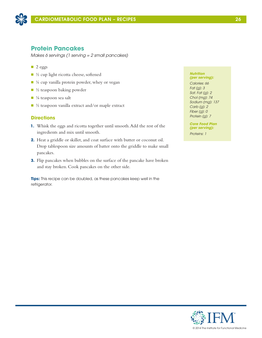

## **Protein Pancakes**

*Makes 6 servings (1 serving = 2 small pancakes)*

- $\Box$  2 eggs
- n ½ cup light ricotta cheese, softened
- $\blacksquare$  ¼ cup vanilla protein powder, whey or vegan
- $\blacksquare$  ½ teaspoon baking powder
- $\blacksquare$  1/8 teaspoon sea salt
- $\blacksquare$  ½ teaspoon vanilla extract and/or maple extract

### **Directions**

- **1.** Whisk the eggs and ricotta together until smooth. Add the rest of the ingredients and mix until smooth.
- **2.** Heat a griddle or skillet, and coat surface with butter or coconut oil. Drop tablespoon size amounts of batter onto the griddle to make small pancakes.
- **3.** Flip pancakes when bubbles on the surface of the pancake have broken and stay broken. Cook pancakes on the other side.

**Tips:** This recipe can be doubled, as these pancakes keep well in the refrigerator.

#### *Nutrition (per serving):*

*Calories: 66 Fat (g): 3 Sat. Fat (g): 2 Chol (mg): 74 Sodium (mg): 137 Carb (g): 2 Fiber (g): 0 Protein (g): 7*

*Core Food Plan (per serving): Proteins: 1*

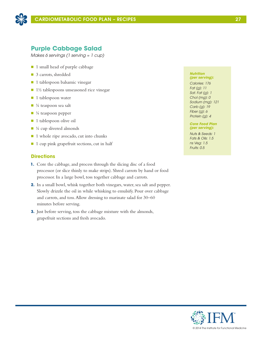

## **Purple Cabbage Salad**

*Makes 6 servings (1 serving ≈ 1 cup)*

- 1 small head of purple cabbage
- 3 carrots, shredded
- $\blacksquare$  1 tablespoon balsamic vinegar
- n 1½ tablespoons unseasoned rice vinegar
- **n** 1 tablespoon water
- $\blacksquare$  ¼ teaspoon sea salt
- $\blacksquare$  ¼ teaspoon pepper
- 1 tablespoon olive oil
- $\blacksquare$  <sup>1</sup>/<sub>4</sub> cup slivered almonds
- 1 whole ripe avocado, cut into chunks
- n 1 cup pink grapefruit sections, cut in half

### **Directions**

- **1.** Core the cabbage, and process through the slicing disc of a food processor (or slice thinly to make strips). Shred carrots by hand or food processor. In a large bowl, toss together cabbage and carrots.
- **2.** In a small bowl, whisk together both vinegars, water, sea salt and pepper. Slowly drizzle the oil in while whisking to emulsify. Pour over cabbage and carrots, and toss. Allow dressing to marinate salad for 30–60 minutes before serving.
- **3.** Just before serving, toss the cabbage mixture with the almonds, grapefruit sections and fresh avocado.

#### *Nutrition (per serving):*

*Calories: 176 Fat (g): 11 Sat. Fat (g): 1 Chol (mg): 0 Sodium (mg): 121 Carb (g): 19 Fiber (g): 6 Protein (g): 4*

### *Core Food Plan (per serving):*

*Nuts & Seeds: 1 Fats & Oils: 1.5 ns Veg: 1.5 Fruits: 0.5*



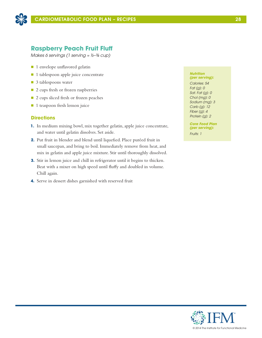

## **Raspberry Peach Fruit Fluff**

*Makes 6 servings (1 serving ≈ ½–¾ cup)*

- 1 envelope unflavored gelatin
- 1 tablespoon apple juice concentrate
- 3 tablespoons water
- 2 cups fresh or frozen raspberries
- 2 cups sliced fresh or frozen peaches
- 1 teaspoon fresh lemon juice

### **Directions**

- **1.** In medium mixing bowl, mix together gelatin, apple juice concentrate, and water until gelatin dissolves. Set aside.
- **2.** Put fruit in blender and blend until liquefied. Place puréed fruit in small saucepan, and bring to boil. Immediately remove from heat, and mix in gelatin and apple juice mixture. Stir until thoroughly dissolved.
- **3.** Stir in lemon juice and chill in refrigerator until it begins to thicken. Beat with a mixer on high speed until fluffy and doubled in volume. Chill again.
- **4.** Serve in dessert dishes garnished with reserved fruit

#### *Nutrition (per serving):*

*Calories: 54 Fat (g): 0 Sat. Fat (g): 0 Chol (mg): 0 Sodium (mg): 3 Carb (g): 12 Fiber (g): 4 Protein (g): 2*

*Core Food Plan (per serving): Fruits: 1*

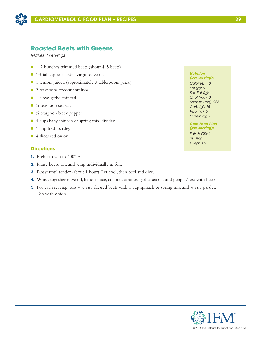

## **Roasted Beets with Greens**

*Makes 4 servings*

- $\blacksquare$  1–2 bunches trimmed beets (about 4–5 beets)
- $\blacksquare$  1½ tablespoons extra-virgin olive oil
- 1 lemon, juiced (approximately 3 tablespoons juice)
- 2 teaspoons coconut aminos
- 1 clove garlic, minced
- $\blacksquare$  ¼ teaspoon sea salt
- $\blacksquare$  ¼ teaspoon black pepper
- 4 cups baby spinach or spring mix, divided
- **1** cup fresh parsley
- 4 slices red onion

### **Directions**

- **1.** Preheat oven to 400° F.
- **2.** Rinse beets, dry, and wrap individually in foil.
- **3.** Roast until tender (about 1 hour). Let cool, then peel and dice.
- **4.** Whisk together olive oil, lemon juice, coconut aminos, garlic, sea salt and pepper. Toss with beets.
- **5.** For each serving, toss  $\approx \frac{1}{2}$  cup dressed beets with 1 cup spinach or spring mix and  $\frac{1}{4}$  cup parsley. Top with onion.

#### *Nutrition (per serving):*

*Calories: 113 Fat (g): 5 Sat. Fat (g): 1 Chol (mg): 0 Sodium (mg): 286 Carb (g): 15 Fiber (g): 5 Protein (g): 3*

#### *Core Food Plan (per serving):*

*Fats & Oils: 1 ns Veg: 1 s Veg: 0.5*

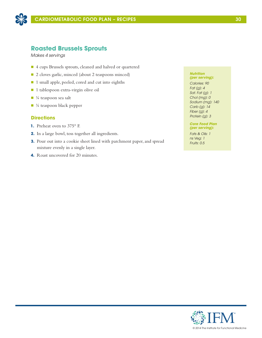

## **Roasted Brussels Sprouts**

*Makes 4 servings*

- n 4 cups Brussels sprouts, cleaned and halved or quartered
- 2 cloves garlic, minced (about 2 teaspoons minced)
- 1 small apple, peeled, cored and cut into eighths
- 1 tablespoon extra-virgin olive oil
- $\blacksquare$  ¼ teaspoon sea salt
- $\blacksquare$  ¼ teaspoon black pepper

### **Directions**

- **1.** Preheat oven to 375° F.
- **2.** In a large bowl, toss together all ingredients.
- **3.** Pour out into a cookie sheet lined with parchment paper, and spread mixture evenly in a single layer.
- **4.** Roast uncovered for 20 minutes.

#### *Nutrition (per serving):*

*Calories: 90 Fat (g): 4 Sat. Fat (g): 1 Chol (mg): 0 Sodium (mg): 140 Carb (g): 14 Fiber (g): 4 Protein (g): 3*

#### *Core Food Plan (per serving):*

*Fats & Oils: 1 ns Veg: 1 Fruits: 0.5*

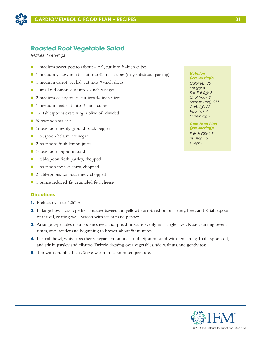

## **Roasted Root Vegetable Salad**

*Makes 4 servings*

- 1 medium sweet potato (about 4 oz), cut into  $\frac{3}{4}$ -inch cubes
- $\blacksquare$  1 medium yellow potato, cut into ¾-inch cubes (may substitute parsnip)
- 1 medium carrot, peeled, cut into ¾-inch slices
- $\blacksquare$  1 small red onion, cut into ½-inch wedges
- $\Box$  2 medium celery stalks, cut into  $\frac{3}{4}$ -inch slices
- $\blacksquare$  1 medium beet, cut into ¾-inch cubes
- $\blacksquare$  1½ tablespoons extra virgin olive oil, divided
- $\blacksquare$  ¼ teaspoon sea salt
- $\blacksquare$  ¼ teaspoon freshly ground black pepper
- $\blacksquare$  1 teaspoon balsamic vinegar
- $\Box$  2 teaspoons fresh lemon juice
- $\blacksquare$  ½ teaspoon Dijon mustard
- 1 tablespoon fresh parsley, chopped
- 1 teaspoon fresh cilantro, chopped
- 2 tablespoons walnuts, finely chopped
- 1 ounce reduced-fat crumbled feta cheese

### **Directions**

- **1.** Preheat oven to 425° F.
- **2.** In large bowl, toss together potatoes (sweet and yellow), carrot, red onion, celery, beet, and  $\frac{1}{2}$  tablespoon of the oil, coating well. Season with sea salt and pepper
- **3.** Arrange vegetables on a cookie sheet, and spread mixture evenly in a single layer. Roast, stirring several times, until tender and beginning to brown, about 50 minutes.
- **4.** In small bowl, whisk together vinegar, lemon juice, and Dijon mustard with remaining 1 tablespoon oil, and stir in parsley and cilantro. Drizzle dressing over vegetables, add walnuts, and gently toss.
- **5.** Top with crumbled feta. Serve warm or at room temperature.

#### *Nutrition (per serving):*

*Calories: 175 Fat (g): 8 Sat. Fat (g): 2 Chol (mg): 3 Sodium (mg): 277 Carb (g): 22 Fiber (g): 4 Protein (g): 5*

### *Core Food Plan (per serving):*

*Fats & Oils: 1.5 ns Veg: 1.5 s Veg: 1*

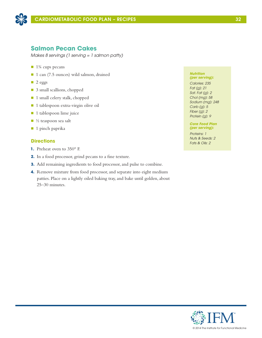

## **Salmon Pecan Cakes**

*Makes 8 servings (1 serving = 1 salmon patty)*

- $\blacksquare$  1¼ cups pecans
- 1 can (7.5 ounces) wild salmon, drained
- $\Box$  2 eggs
- 3 small scallions, chopped
- 1 small celery stalk, chopped
- 1 tablespoon extra-virgin olive oil
- **n** 1 tablespoon lime juice
- $\blacksquare$  ½ teaspoon sea salt
- $\blacksquare$  1 pinch paprika

### **Directions**

- **1.** Preheat oven to 350° F.
- **2.** In a food processor, grind pecans to a fine texture.
- **3.** Add remaining ingredients to food processor, and pulse to combine.
- **4.** Remove mixture from food processor, and separate into eight medium patties. Place on a lightly oiled baking tray, and bake until golden, about 25–30 minutes.

#### *Nutrition (per serving):*

*Calories: 235 Fat (g): 21 Sat. Fat (g): 2 Chol (mg): 58 Sodium (mg): 248 Carb (g): 5 Fiber (g): 2 Protein (g): 9*

### *Core Food Plan (per serving):*

*Proteins: 1 Nuts & Seeds: 2 Fats & Oils: 2*

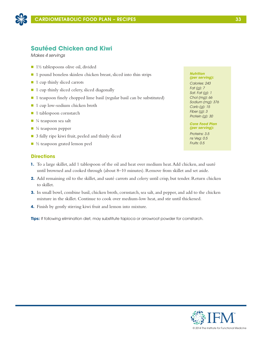

## **Sautéed Chicken and Kiwi**

*Makes 4 servings*

- $\blacksquare$  1½ tablespoons olive oil, divided
- 1 pound boneless skinless chicken breast, sliced into thin strips
- 1 cup thinly sliced carrots
- $\blacksquare$  1 cup thinly sliced celery, sliced diagonally
- 1 teaspoon finely chopped lime basil (regular basil can be substituted)
- 1 cup low-sodium chicken broth
- 1 tablespoon cornstarch
- $\blacksquare$  ¼ teaspoon sea salt
- $\blacksquare$  ¼ teaspoon pepper
- 3 fully ripe kiwi fruit, peeled and thinly sliced
- $\blacksquare$  ½ teaspoon grated lemon peel

### **Directions**

- **1.** To a large skillet, add 1 tablespoon of the oil and heat over medium heat. Add chicken, and sauté until browned and cooked through (about 8–10 minutes). Remove from skillet and set aside.
- **2.** Add remaining oil to the skillet, and sauté carrots and celery until crisp, but tender. Return chicken to skillet.
- **3.** In small bowl, combine basil, chicken broth, cornstarch, sea salt, and pepper, and add to the chicken mixture in the skillet. Continue to cook over medium-low heat, and stir until thickened.
- **4.** Finish by gently stirring kiwi fruit and lemon into mixture.

**Tips:** If following elimination diet, may substitute tapioca or arrowroot powder for cornstarch.

### *Nutrition*

*(per serving): Calories: 243 Fat (g): 7 Sat. Fat (g): 1 Chol (mg): 66 Sodium (mg): 376 Carb (g): 15 Fiber (g): 3 Protein (g): 30*

#### *Core Food Plan (per serving):*

*Proteins: 3.5 ns Veg: 0.5 Fruits: 0.5*

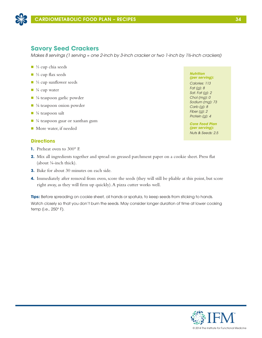

## **Savory Seed Crackers**

*Makes 8 servings (1 serving ≈ one 2-inch by 3-inch cracker or two 1-inch by 1½-inch crackers)*

- $\blacksquare$  ¼ cup chia seeds
- <sup>1</sup>/<sub>3</sub> cup flax seeds
- $\blacksquare$  ¼ cup sunflower seeds
- $\blacksquare$  <sup>1</sup>/<sub>4</sub> cup water
- ⅓ teaspoon garlic powder
- $\blacksquare$  <sup>1</sup>/<sub>8</sub> teaspoon onion powder
- $\blacksquare$  ¼ teaspoon salt
- $\blacksquare$  ¼ teaspoon guar or xanthan gum
- More water, if needed

### **Directions**

- **1.** Preheat oven to 300° F.
- **2.** Mix all ingredients together and spread on greased parchment paper on a cookie sheet. Press flat (about ⅛-inch thick).
- **3.** Bake for about 30 minutes on each side.
- **4.** Immediately after removal from oven, score the seeds (they will still be pliable at this point, but score right away, as they will firm up quickly). A pizza cutter works well.

**Tips:** Before spreading on cookie sheet, oil hands or spatula, to keep seeds from sticking to hands. Watch closely so that you don't burn the seeds. May consider longer duration of time at lower cooking temp (i.e., 250° F).

*Nutrition (per serving): Calories: 113 Fat (g): 8 Sat. Fat (g): 2 Chol (mg): 0 Sodium (mg): 73 Carb (g): 8 Fiber (g): 2 Protein (g): 4*

*Core Food Plan (per serving): Nuts & Seeds: 2.5*

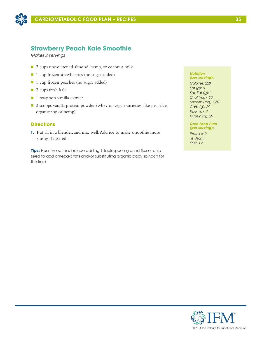

## **Strawberry Peach Kale Smoothie**

*Makes 2 servings*

- 2 cups unsweetened almond, hemp, or coconut milk
- 1 cup frozen strawberries (no sugar added)
- 1 cup frozen peaches (no sugar added)
- 2 cups fresh kale
- 1 teaspoon vanilla extract
- 2 scoops vanilla protein powder (whey or vegan varieties, like pea, rice, organic soy or hemp)

### **Directions**

**1.** Put all in a blender, and mix well. Add ice to make smoothie more slushy, if desired.

**Tips:** Healthy options include adding 1 tablespoon ground flax or chia seed to add omega-3 fats and/or substituting organic baby spinach for the kale.

#### *Nutrition (per serving):*

*Calories: 228 Fat (g): 6 Sat. Fat (g): 1 Chol (mg): 30 Sodium (mg): 260 Carb (g): 29 Fiber (g): 7 Protein (g): 20*

#### *Core Food Plan (per serving):*

*Proteins: 2 ns Veg: 1 Fruit: 1.5*

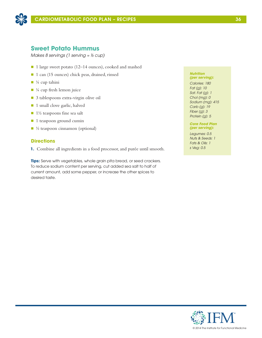

## **Sweet Potato Hummus**

*Makes 8 servings (1 serving ≈ ⅓ cup)*

- 1 large sweet potato (12–14 ounces), cooked and mashed
- 1 can (15 ounces) chick peas, drained, rinsed
- $\blacksquare$  ¼ cup tahini
- $\blacksquare$  ¼ cup fresh lemon juice
- 3 tablespoons extra-virgin olive oil
- 1 small clove garlic, halved
- $\blacksquare$  1½ teaspoons fine sea salt
- 1 teaspoon ground cumin
- $\blacksquare$  ½ teaspoon cinnamon (optional)

### **Directions**

**1.** Combine all ingredients in a food processor, and purée until smooth.

**Tips:** Serve with vegetables, whole grain pita bread, or seed crackers. To reduce sodium content per serving, cut added sea salt to half of current amount, add some pepper, or increase the other spices to desired taste.

#### *Nutrition (per serving):*

*Calories: 180 Fat (g): 10 Sat. Fat (g): 1 Chol (mg): 0 Sodium (mg): 415 Carb (g): 19 Fiber (g): 3 Protein (g): 5*

### *Core Food Plan (per serving):*

*Legumes: 0.5 Nuts & Seeds: 1 Fats & Oils: 1 s Veg: 0.5*

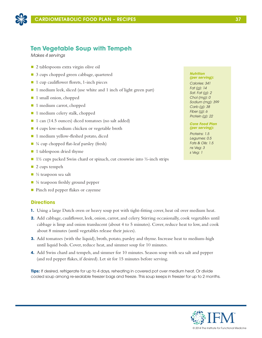

## **Ten Vegetable Soup with Tempeh**

*Makes 4 servings*

- $\Box$  2 tablespoons extra virgin olive oil
- 3 cups chopped green cabbage, quartered
- $\blacksquare$  1 cup cauliflower florets, 1-inch pieces
- 1 medium leek, sliced (use white and 1 inch of light green part)
- 1 small onion, chopped
- 1 medium carrot, chopped
- 1 medium celery stalk, chopped
- 1 can (14.5 ounces) diced tomatoes (no salt added)
- 4 cups low-sodium chicken or vegetable broth
- 1 medium yellow-fleshed potato, diced
- $\blacksquare$  ¼ cup chopped flat-leaf parsley (fresh)
- 1 tablespoon dried thyme
- $\blacksquare$  1½ cups packed Swiss chard or spinach, cut crosswise into ½-inch strips
- $\blacksquare$  2 cups tempeh
- $\blacksquare$  ½ teaspoon sea salt
- $\blacksquare$  ¼ teaspoon freshly ground pepper
- Pinch red pepper flakes or cayenne

### **Directions**

- **1.** Using a large Dutch oven or heavy soup pot with tight-fitting cover, heat oil over medium heat.
- **2.** Add cabbage, cauliflower, leek, onion, carrot, and celery. Stirring occasionally, cook vegetables until cabbage is limp and onion translucent (about 4 to 5 minutes). Cover, reduce heat to low, and cook about 8 minutes (until vegetables release their juices).
- **3.** Add tomatoes (with the liquid), broth, potato, parsley and thyme. Increase heat to medium-high until liquid boils. Cover, reduce heat, and simmer soup for 10 minutes.
- **4.** Add Swiss chard and tempeh, and simmer for 10 minutes. Season soup with sea salt and pepper (and red pepper flakes, if desired). Let sit for 15 minutes before serving.

**Tips:** If desired, refrigerate for up to 4 days, reheating in covered pot over medium heat. Or divide cooled soup among re-sealable freezer bags and freeze. This soup keeps in freezer for up to 2 months.

#### *Nutrition (per serving):*

*Calories: 341 Fat (g): 14 Sat. Fat (g): 2 Chol (mg): 0 Sodium (mg): 399 Carb (g): 38 Fiber (g): 6 Protein (g): 22*

#### *Core Food Plan (per serving):*

*Proteins: 1.5 Legumes: 0.5 Fats & Oils: 1.5 ns Veg: 3 s Veg: 1*

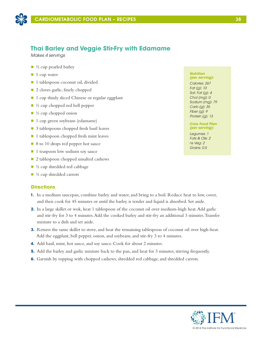

## **Thai Barley and Veggie Stir-Fry with Edamame**

*Makes 4 servings*

- $\blacksquare$  ½ cup pearled barley
- $\blacksquare$  1 cup water
- 1 tablespoon coconut oil, divided
- 2 cloves garlic, finely chopped
- 1 cup thinly sliced Chinese or regular eggplant
- $\blacksquare$  ½ cup chopped red bell pepper
- $\blacksquare$  ½ cup chopped onion
- $\blacksquare$  1 cup green soybeans (edamame)
- 3 tablespoons chopped fresh basil leaves
- $\blacksquare$  1 tablespoon chopped fresh mint leaves
- 8 to 10 drops red pepper hot sauce
- 1 teaspoon low sodium soy sauce
- 2 tablespoon chopped unsalted cashews
- $\blacksquare$  ½ cup shredded red cabbage
- $\blacksquare$  ½ cup shredded carrots

### **Directions**

- **1.** In a medium saucepan, combine barley and water, and bring to a boil. Reduce heat to low, cover, and then cook for 45 minutes or until the barley is tender and liquid is absorbed. Set aside.
- **2.** In a large skillet or wok, heat 1 tablespoon of the coconut oil over medium-high heat. Add garlic and stir-fry for 3 to 4 minutes. Add the cooked barley and stir-fry an additional 3 minutes. Transfer mixture to a dish and set aside.
- **3.** Return the same skillet to stove, and heat the remaining tablespoon of coconut oil over high-heat. Add the eggplant, bell pepper, onion, and soybeans, and stir-fry 3 to 4 minutes.
- **4.** Add basil, mint, hot sauce, and soy sauce. Cook for about 2 minutes.
- **5.** Add the barley and garlic mixture back to the pan, and heat for 3 minutes, stirring frequently.
- **6.** Garnish by topping with chopped cashews, shredded red cabbage, and shredded carrots.

#### *Nutrition (per serving):*

*Calories: 267 Fat (g): 10 Sat. Fat (g): 4 Chol (mg): 0 Sodium (mg): 79 Carb (g): 35 Fiber (g): 9 Protein (g): 13*

*Core Food Plan (per serving):*

*Legumes: 1 Fats & Oils: 2 ns Veg: 2 Grains: 0.5*